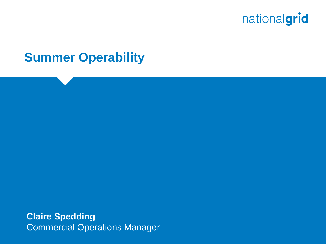

### **Summer Operability**

**Claire Spedding** Commercial Operations Manager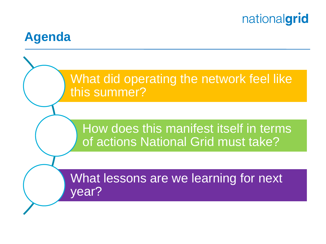

## **Agenda**

## What did operating the network feel like this summer?

## How does this manifest itself in terms of actions National Grid must take?

What lessons are we learning for next year?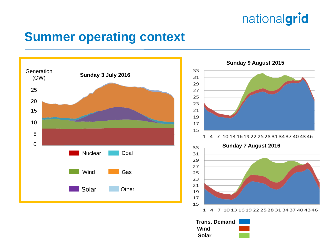## **Summer operating context**





**Trans. Demand Wind Solar**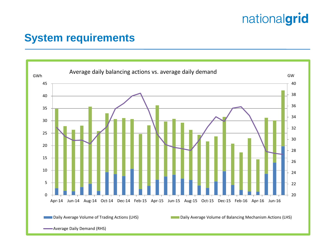#### **System requirements**

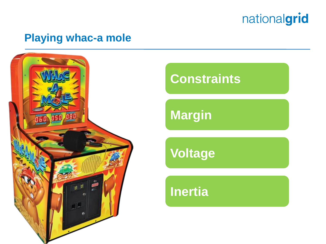

#### **Playing whac-a mole**



## **Constraints**

**Margin** 

**Voltage**

**Inertia**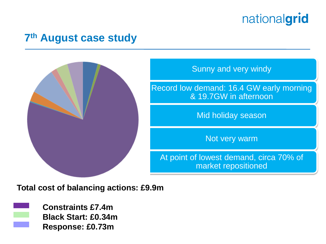#### **7 th August case study**



Sunny and very windy

Record low demand: 16.4 GW early morning & 19.7GW in afternoon

Mid holiday season

Not very warm

At point of lowest demand, circa 70% of market repositioned

**Total cost of balancing actions: £9.9m**



**Constraints £7.4m Black Start: £0.34m Response: £0.73m**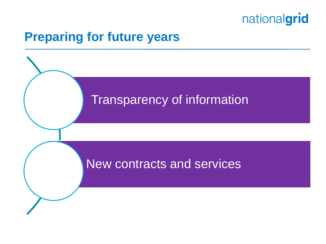

## **Preparing for future years**